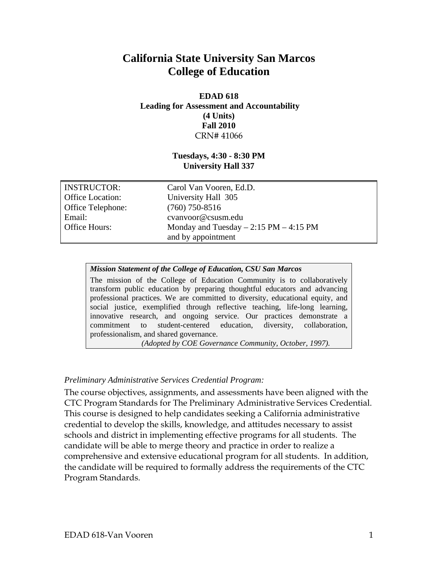# **California State University San Marcos College of Education**

### **EDAD 618 Leading for Assessment and Accountability (4 Units) Fall 2010**  CRN# 41066

### **Tuesdays, 4:30 - 8:30 PM University Hall 337**

| INSTRUCTOR:              | Carol Van Vooren, Ed.D.                  |
|--------------------------|------------------------------------------|
| <b>Office Location:</b>  | University Hall 305                      |
| <b>Office Telephone:</b> | $(760)$ 750-8516                         |
| Email:                   | cvanvoor@csusm.edu                       |
| <b>Office Hours:</b>     | Monday and Tuesday $-2:15$ PM $-4:15$ PM |
|                          | and by appointment                       |

### *Mission Statement of the College of Education, CSU San Marcos*

The mission of the College of Education Community is to collaboratively transform public education by preparing thoughtful educators and advancing professional practices. We are committed to diversity, educational equity, and social justice, exemplified through reflective teaching, life-long learning, innovative research, and ongoing service. Our practices demonstrate a commitment to student-centered education, diversity, collaboration, professionalism, and shared governance.

*(Adopted by COE Governance Community, October, 1997).* 

### *Preliminary Administrative Services Credential Program:*

The course objectives, assignments, and assessments have been aligned with the CTC Program Standards for The Preliminary Administrative Services Credential. This course is designed to help candidates seeking a California administrative credential to develop the skills, knowledge, and attitudes necessary to assist schools and district in implementing effective programs for all students. The candidate will be able to merge theory and practice in order to realize a comprehensive and extensive educational program for all students. In addition, the candidate will be required to formally address the requirements of the CTC Program Standards.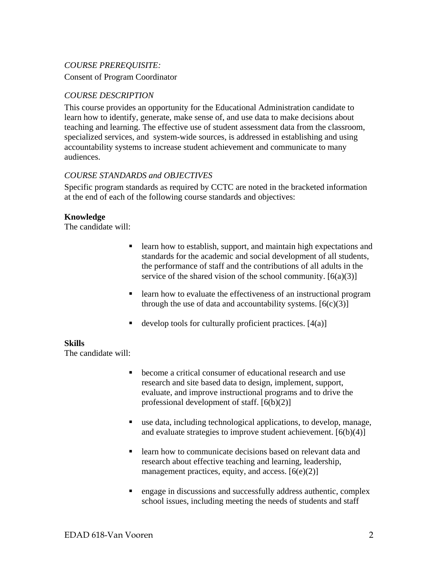# *COURSE PREREQUISITE:*

Consent of Program Coordinator

# *COURSE DESCRIPTION*

This course provides an opportunity for the Educational Administration candidate to learn how to identify, generate, make sense of, and use data to make decisions about teaching and learning. The effective use of student assessment data from the classroom, specialized services, and system-wide sources, is addressed in establishing and using accountability systems to increase student achievement and communicate to many audiences.

### *COURSE STANDARDS and OBJECTIVES*

Specific program standards as required by CCTC are noted in the bracketed information at the end of each of the following course standards and objectives:

### **Knowledge**

The candidate will:

- **Exercise 1** learn how to establish, support, and maintain high expectations and standards for the academic and social development of all students, the performance of staff and the contributions of all adults in the service of the shared vision of the school community.  $[6(a)(3)]$
- **Example 1** learn how to evaluate the effectiveness of an instructional program through the use of data and accountability systems.  $[6(c)(3)]$
- develop tools for culturally proficient practices.  $[4(a)]$

### **Skills**

The candidate will:

- become a critical consumer of educational research and use research and site based data to design, implement, support, evaluate, and improve instructional programs and to drive the professional development of staff. [6(b)(2)]
- use data, including technological applications, to develop, manage, and evaluate strategies to improve student achievement.  $[6(b)(4)]$
- **Example 1** Learn how to communicate decisions based on relevant data and research about effective teaching and learning, leadership, management practices, equity, and access.  $[6(e)(2)]$
- engage in discussions and successfully address authentic, complex school issues, including meeting the needs of students and staff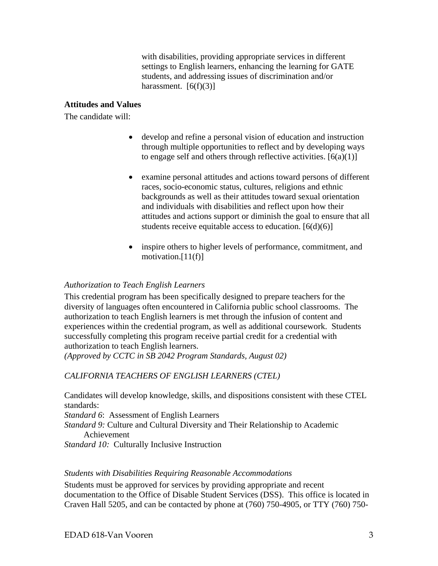with disabilities, providing appropriate services in different settings to English learners, enhancing the learning for GATE students, and addressing issues of discrimination and/or harassment.  $[6(f)(3)]$ 

# **Attitudes and Values**

The candidate will:

- develop and refine a personal vision of education and instruction through multiple opportunities to reflect and by developing ways to engage self and others through reflective activities.  $[6(a)(1)]$
- examine personal attitudes and actions toward persons of different races, socio-economic status, cultures, religions and ethnic backgrounds as well as their attitudes toward sexual orientation and individuals with disabilities and reflect upon how their attitudes and actions support or diminish the goal to ensure that all students receive equitable access to education.  $[6(d)(6)]$
- inspire others to higher levels of performance, commitment, and motivation.<sup>[11(f)]</sup>

# *Authorization to Teach English Learners*

This credential program has been specifically designed to prepare teachers for the diversity of languages often encountered in California public school classrooms. The authorization to teach English learners is met through the infusion of content and experiences within the credential program, as well as additional coursework. Students successfully completing this program receive partial credit for a credential with authorization to teach English learners.

(Approved by CCTC in SB 2042 Program Standards, August 02)  *(Approved by CCTC in SB 2042 Program Standards, August 02) CALIFORNIA TEACHERS OF ENGLISH LEARNERS (CTEL)* 

Candidates will develop knowledge, skills, and dispositions consistent with these CTEL standards:

*Standard 6*: Assessment of English Learners

*Standard 9:* Culture and Cultural Diversity and Their Relationship to Academic Achievement

*Standard 10:* Culturally Inclusive Instruction

### *Students with Disabilities Requiring Reasonable Accommodations*

Students must be approved for services by providing appropriate and recent documentation to the Office of Disable Student Services (DSS). This office is located in Craven Hall 5205, and can be contacted by phone at (760) 750-4905, or TTY (760) 750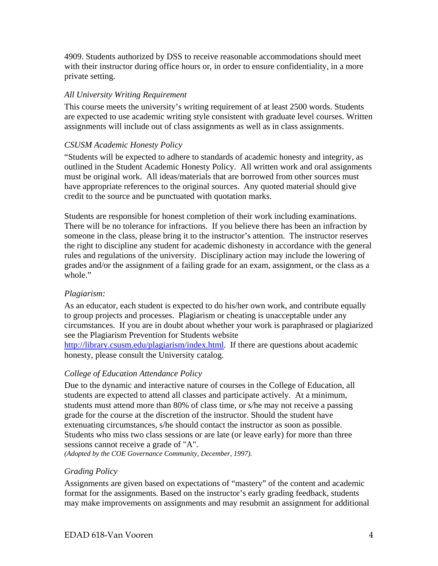4909. Students authorized by DSS to receive reasonable accommodations should meet with their instructor during office hours or, in order to ensure confidentiality, in a more private setting.

# *All University Writing Requirement*

This course meets the university's writing requirement of at least 2500 words. Students are expected to use academic writing style consistent with graduate level courses. Written assignments will include out of class assignments as well as in class assignments.

# *CSUSM Academic Honesty Policy*

"Students will be expected to adhere to standards of academic honesty and integrity, as outlined in the Student Academic Honesty Policy. All written work and oral assignments must be original work. All ideas/materials that are borrowed from other sources must have appropriate references to the original sources. Any quoted material should give credit to the source and be punctuated with quotation marks.

Students are responsible for honest completion of their work including examinations. There will be no tolerance for infractions. If you believe there has been an infraction by someone in the class, please bring it to the instructor's attention. The instructor reserves the right to discipline any student for academic dishonesty in accordance with the general rules and regulations of the university. Disciplinary action may include the lowering of grades and/or the assignment of a failing grade for an exam, assignment, or the class as a whole."

# *Plagiarism:*

As an educator, each student is expected to do his/her own work, and contribute equally to group projects and processes. Plagiarism or cheating is unacceptable under any circumstances. If you are in doubt about whether your work is paraphrased or plagiarized see the Plagiarism Prevention for Students website

http://library.csusm.edu/plagiarism/index.html. If there are questions about academic honesty, please consult the University catalog.

# *College of Education Attendance Policy*

 *(Adopted by the COE Governance Community, December, 1997). Grading Policy*  Due to the dynamic and interactive nature of courses in the College of Education, all students are expected to attend all classes and participate actively. At a minimum, students must attend more than 80% of class time, or s/he may not receive a passing grade for the course at the discretion of the instructor. Should the student have extenuating circumstances, s/he should contact the instructor as soon as possible. Students who miss two class sessions or are late (or leave early) for more than three sessions cannot receive a grade of "A".

Assignments are given based on expectations of "mastery" of the content and academic format for the assignments. Based on the instructor's early grading feedback, students may make improvements on assignments and may resubmit an assignment for additional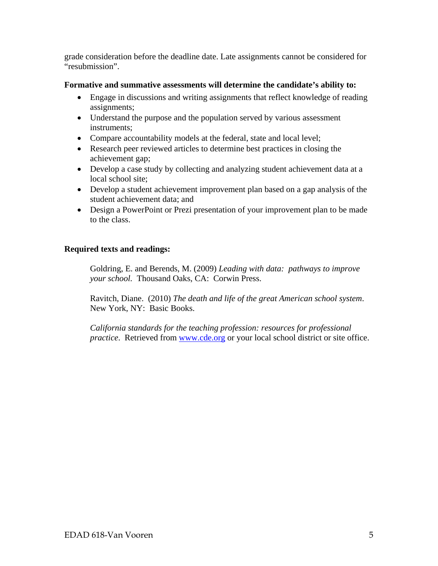grade consideration before the deadline date. Late assignments cannot be considered for "resubmission".

### **Formative and summative assessments will determine the candidate's ability to:**

- Engage in discussions and writing assignments that reflect knowledge of reading assignments;
- Understand the purpose and the population served by various assessment instruments;
- Compare accountability models at the federal, state and local level;
- Research peer reviewed articles to determine best practices in closing the achievement gap;
- Develop a case study by collecting and analyzing student achievement data at a local school site;
- Develop a student achievement improvement plan based on a gap analysis of the student achievement data; and
- Design a PowerPoint or Prezi presentation of your improvement plan to be made to the class.

# **Required texts and readings:**

Goldring, E. and Berends, M. (2009) *Leading with data: pathways to improve your school.* Thousand Oaks, CA: Corwin Press.

Ravitch, Diane. (2010) *The death and life of the great American school system*. New York, NY: Basic Books.

*California standards for the teaching profession: resources for professional practice*. Retrieved from www.cde.org or your local school district or site office.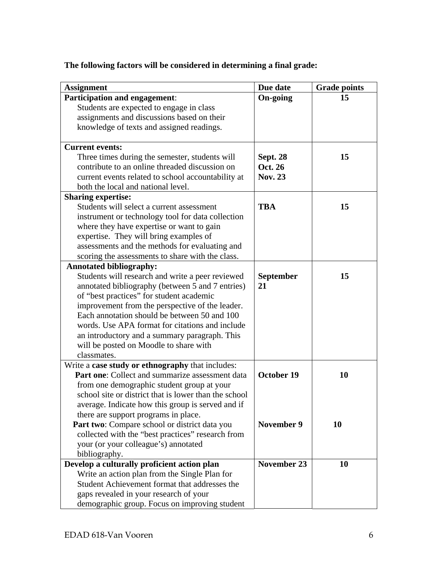| <b>Assignment</b>                                                                              | Due date           | <b>Grade points</b> |
|------------------------------------------------------------------------------------------------|--------------------|---------------------|
| <b>Participation and engagement:</b>                                                           | <b>On-going</b>    | 15                  |
| Students are expected to engage in class                                                       |                    |                     |
| assignments and discussions based on their                                                     |                    |                     |
| knowledge of texts and assigned readings.                                                      |                    |                     |
| <b>Current events:</b>                                                                         |                    |                     |
| Three times during the semester, students will                                                 | <b>Sept. 28</b>    | 15                  |
| contribute to an online threaded discussion on                                                 | Oct. 26            |                     |
| current events related to school accountability at                                             | <b>Nov. 23</b>     |                     |
| both the local and national level.                                                             |                    |                     |
| <b>Sharing expertise:</b>                                                                      |                    |                     |
| Students will select a current assessment                                                      | <b>TBA</b>         | 15                  |
| instrument or technology tool for data collection                                              |                    |                     |
| where they have expertise or want to gain                                                      |                    |                     |
| expertise. They will bring examples of                                                         |                    |                     |
| assessments and the methods for evaluating and                                                 |                    |                     |
| scoring the assessments to share with the class.                                               |                    |                     |
| <b>Annotated bibliography:</b>                                                                 |                    |                     |
| Students will research and write a peer reviewed                                               | <b>September</b>   | 15                  |
| annotated bibliography (between 5 and 7 entries)                                               | 21                 |                     |
| of "best practices" for student academic                                                       |                    |                     |
| improvement from the perspective of the leader.                                                |                    |                     |
| Each annotation should be between 50 and 100                                                   |                    |                     |
| words. Use APA format for citations and include                                                |                    |                     |
| an introductory and a summary paragraph. This                                                  |                    |                     |
| will be posted on Moodle to share with                                                         |                    |                     |
| classmates.                                                                                    |                    |                     |
| Write a case study or ethnography that includes:                                               | October 19         |                     |
| <b>Part one:</b> Collect and summarize assessment data                                         |                    | 10                  |
| from one demographic student group at your                                                     |                    |                     |
| school site or district that is lower than the school                                          |                    |                     |
| average. Indicate how this group is served and if                                              |                    |                     |
| there are support programs in place.                                                           | <b>November 9</b>  | 10                  |
| Part two: Compare school or district data you                                                  |                    |                     |
| collected with the "best practices" research from                                              |                    |                     |
| your (or your colleague's) annotated<br>bibliography.                                          |                    |                     |
|                                                                                                |                    |                     |
| Develop a culturally proficient action plan                                                    | <b>November 23</b> | 10                  |
| Write an action plan from the Single Plan for<br>Student Achievement format that addresses the |                    |                     |
|                                                                                                |                    |                     |
| gaps revealed in your research of your                                                         |                    |                     |
| demographic group. Focus on improving student                                                  |                    |                     |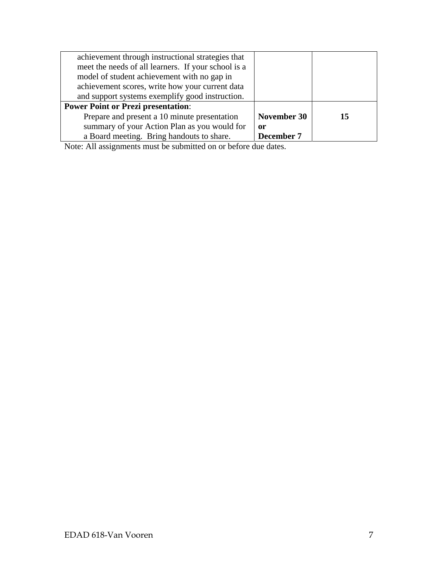| achievement through instructional strategies that   |             |    |
|-----------------------------------------------------|-------------|----|
| meet the needs of all learners. If your school is a |             |    |
| model of student achievement with no gap in         |             |    |
| achievement scores, write how your current data     |             |    |
| and support systems exemplify good instruction.     |             |    |
| <b>Power Point or Prezi presentation:</b>           |             |    |
| Prepare and present a 10 minute presentation        | November 30 | 15 |
| summary of your Action Plan as you would for<br>or  |             |    |
| a Board meeting. Bring handouts to share.           | December 7  |    |

Note: All assignments must be submitted on or before due dates.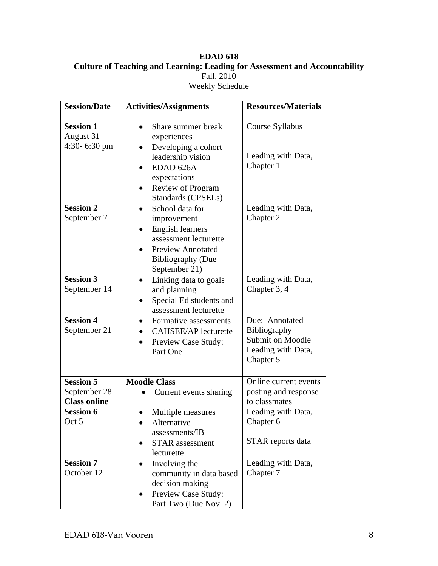# **EDAD 618 Culture of Teaching and Learning: Leading for Assessment and Accountability** Fall, 2010 Weekly Schedule

| <b>Session/Date</b>                                     | <b>Activities/Assignments</b>                                                                                                                               | <b>Resources/Materials</b>                                                                   |
|---------------------------------------------------------|-------------------------------------------------------------------------------------------------------------------------------------------------------------|----------------------------------------------------------------------------------------------|
| <b>Session 1</b><br>August 31<br>4:30-6:30 pm           | Share summer break<br>experiences<br>Developing a cohort<br>leadership vision<br>EDAD 626A<br>expectations<br>Review of Program<br>Standards (CPSELs)       | Course Syllabus<br>Leading with Data,<br>Chapter 1                                           |
| <b>Session 2</b><br>September 7                         | School data for<br>improvement<br><b>English learners</b><br>assessment lecturette<br><b>Preview Annotated</b><br><b>Bibliography (Due</b><br>September 21) | Leading with Data,<br>Chapter 2                                                              |
| <b>Session 3</b><br>September 14                        | Linking data to goals<br>$\bullet$<br>and planning<br>Special Ed students and<br>assessment lecturette                                                      | Leading with Data,<br>Chapter 3, 4                                                           |
| <b>Session 4</b><br>September 21                        | Formative assessments<br><b>CAHSEE/AP</b> lecturette<br>Preview Case Study:<br>$\bullet$<br>Part One                                                        | Due: Annotated<br>Bibliography<br><b>Submit on Moodle</b><br>Leading with Data,<br>Chapter 5 |
| <b>Session 5</b><br>September 28<br><b>Class online</b> | <b>Moodle Class</b><br>Current events sharing                                                                                                               | Online current events<br>posting and response<br>to classmates                               |
| <b>Session 6</b><br>Oct 5                               | Multiple measures<br>Alternative<br>assessments/IB<br><b>STAR</b> assessment<br>lecturette                                                                  | Leading with Data,<br>Chapter 6<br>STAR reports data                                         |
| <b>Session 7</b><br>October 12                          | Involving the<br>community in data based<br>decision making<br>Preview Case Study:<br>٠<br>Part Two (Due Nov. 2)                                            | Leading with Data,<br>Chapter 7                                                              |